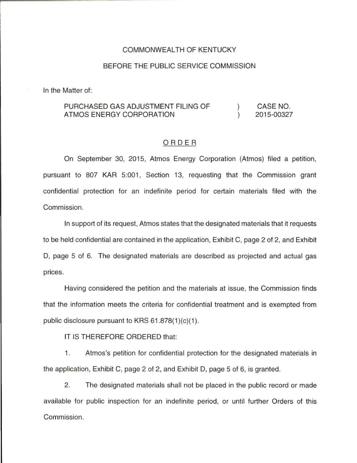## COMMONWEALTH OF KENTUCKY

## BEFORE THE PUBLIC SERVICE COMMISSION

In the Matter of:

## PURCHASED GAS ADJUSTMENT FILING OF ATMOS ENERGY CORPORATION  $\left( \right)$  $\lambda$ CASE NO. 2015-00327

## ORDER

On September 30, 2015, Atmos Energy Corporation (Atmos) filed a petition, pursuant to 807 KAR 5:001, Section 13, requesting that the Commission grant confidential protection for an indefinite period for certain materials filed with the Commission.

In support of its request, Atmos states that the designated materials that it requests to be held confidential are contained in the application, Exhibit C, page 2 of 2, and Exhibit D, page 5 of 6. The designated materials are described as projected and actual gas prices.

Having considered the petition and the materials at issue, the Commission finds that the information meets the criteria for confidential treatment and is exempted from public disclosure pursuant to KRS  $61.878(1)(c)(1)$ .

IT IS THEREFORE ORDERED that:

1 . Atmos's petition for confidential protection for the designated materials in the application, Exhibit C, page 2 of 2, and Exhibit D, page 5 of 6, is granted.

2. The designated materials shall not be placed in the public record or made available for public inspection for an indefinite period, or until further Orders of this Commission.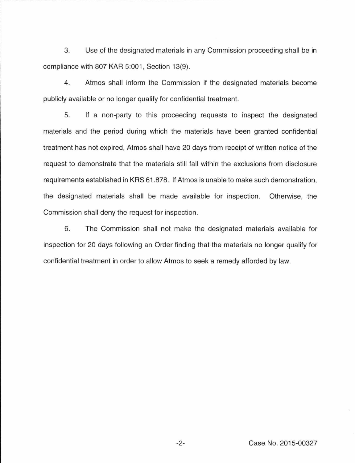3. Use of the designated materials in any Commission proceeding shall be in compliance with 807 KAR 5:001, Section 13(9).

4. Atmos shall inform the Commission if the designated materials become publicly available or no longer qualify for confidential treatment.

5. If a non-party to this proceeding requests to inspect the designated materials and the period during which the materials have been granted confidential treatment has not expired, Atmos shall have 20 days from receipt of written notice of the request to demonstrate that the materials still fall within the exclusions from disclosure requirements established in KRS 61.878. If Atmos is unable to make such demonstration, the designated materials shall be made available for inspection. Otherwise, the Commission shall deny the request for inspection .

6. The Commission shall not make the designated materials available for inspection for 20 days following an Order finding that the materials no longer qualify for confidential treatment in order to allow Atmos to seek a remedy afforded by law.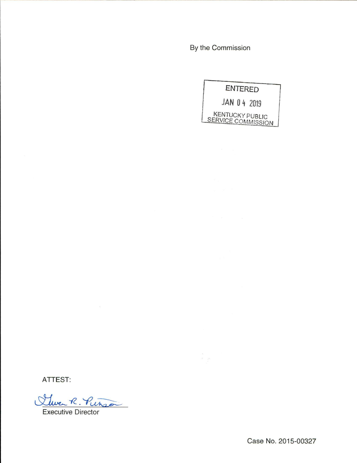By the Commission

 $\frac{\epsilon}{\epsilon}$ 

|                                              | <b>ENTERED</b> |
|----------------------------------------------|----------------|
|                                              | JAN 04 2019    |
| <b>KENTUCKY PUBLIC</b><br>SERVICE COMMISSION |                |

ATTEST:

Cluer R. Pinson